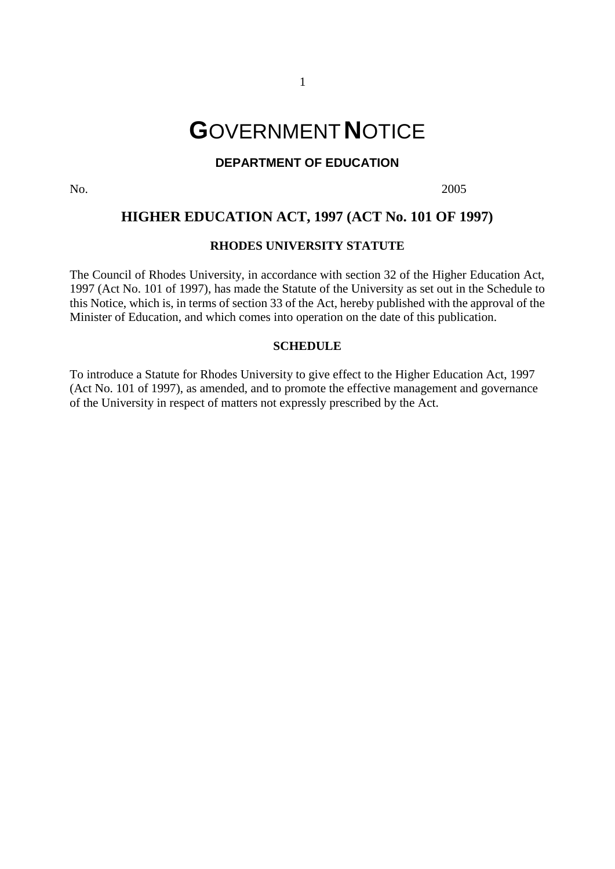# **G**OVERNMENT**N**OTICE

# **DEPARTMENT OF EDUCATION**

No. 2005

# **HIGHER EDUCATION ACT, 1997 (ACT No. 101 OF 1997)**

# **RHODES UNIVERSITY STATUTE**

The Council of Rhodes University, in accordance with section 32 of the Higher Education Act, 1997 (Act No. 101 of 1997), has made the Statute of the University as set out in the Schedule to this Notice, which is, in terms of section 33 of the Act, hereby published with the approval of the Minister of Education, and which comes into operation on the date of this publication.

### **SCHEDULE**

To introduce a Statute for Rhodes University to give effect to the Higher Education Act, 1997 (Act No. 101 of 1997), as amended, and to promote the effective management and governance of the University in respect of matters not expressly prescribed by the Act.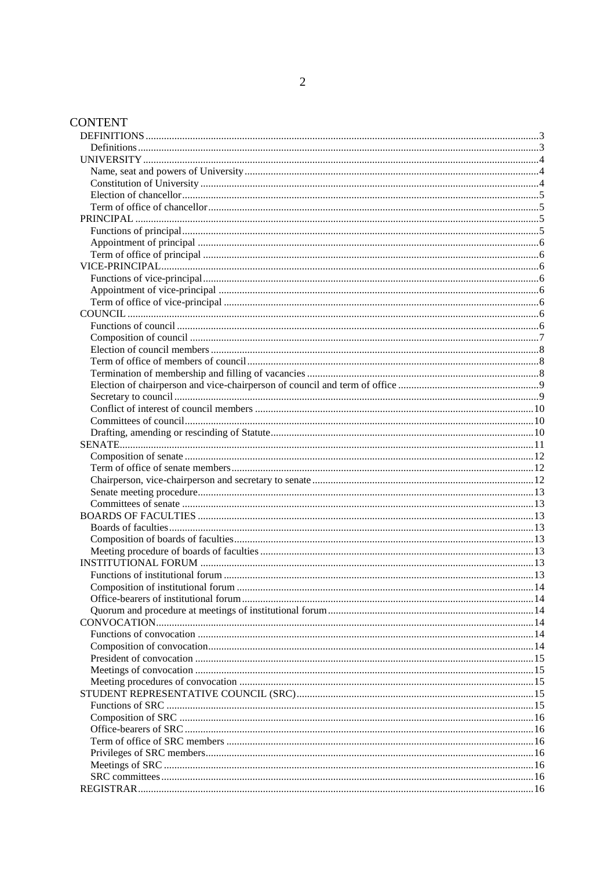# **CONTENT**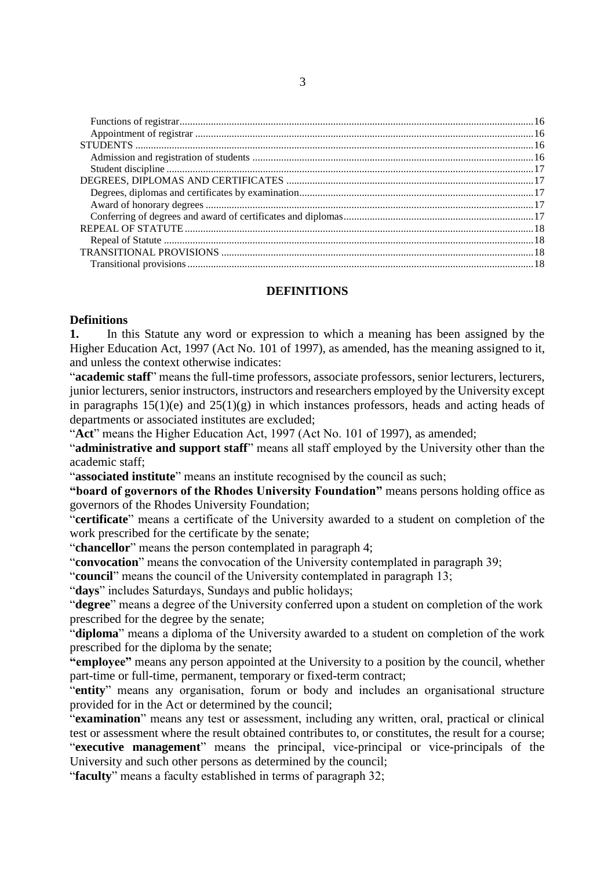# **DEFINITIONS**

# <span id="page-2-1"></span><span id="page-2-0"></span>**Definitions**

**1.** In this Statute any word or expression to which a meaning has been assigned by the Higher Education Act, 1997 (Act No. 101 of 1997), as amended, has the meaning assigned to it, and unless the context otherwise indicates:

"**academic staff**" means the full-time professors, associate professors, senior lecturers, lecturers, junior lecturers, senior instructors, instructors and researchers employed by the University except in paragraphs  $15(1)(e)$  and  $25(1)(g)$  in which instances professors, heads and acting heads of departments or associated institutes are excluded;

"**Act**" means the Higher Education Act, 1997 (Act No. 101 of 1997), as amended;

"**administrative and support staff**" means all staff employed by the University other than the academic staff;

"**associated institute**" means an institute recognised by the council as such;

**"board of governors of the Rhodes University Foundation"** means persons holding office as governors of the Rhodes University Foundation;

"**certificate**" means a certificate of the University awarded to a student on completion of the work prescribed for the certificate by the senate;

"**chancellor**" means the person contemplated in paragraph 4;

"**convocation**" means the convocation of the University contemplated in paragraph 39;

"**council**" means the council of the University contemplated in paragraph 13;

"**days**" includes Saturdays, Sundays and public holidays;

"**degree**" means a degree of the University conferred upon a student on completion of the work prescribed for the degree by the senate;

"**diploma**" means a diploma of the University awarded to a student on completion of the work prescribed for the diploma by the senate;

**"employee"** means any person appointed at the University to a position by the council, whether part-time or full-time, permanent, temporary or fixed-term contract;

"**entity**" means any organisation, forum or body and includes an organisational structure provided for in the Act or determined by the council;

"**examination**" means any test or assessment, including any written, oral, practical or clinical test or assessment where the result obtained contributes to, or constitutes, the result for a course; "**executive management**" means the principal, vice-principal or vice-principals of the University and such other persons as determined by the council;

"**faculty**" means a faculty established in terms of paragraph 32;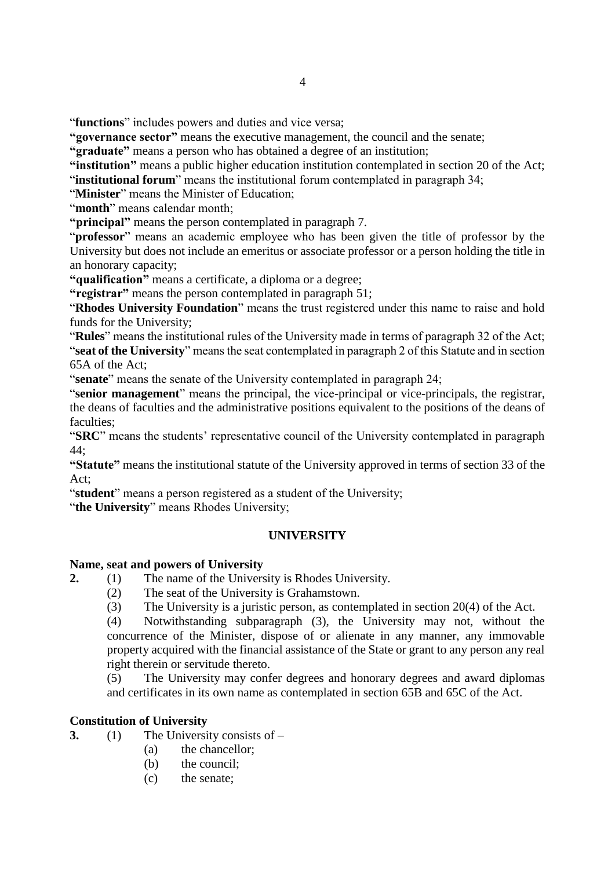"**functions**" includes powers and duties and vice versa;

**"governance sector"** means the executive management, the council and the senate;

**"graduate"** means a person who has obtained a degree of an institution;

**"institution"** means a public higher education institution contemplated in section 20 of the Act;

"**institutional forum**" means the institutional forum contemplated in paragraph 34;

"**Minister**" means the Minister of Education;

"**month**" means calendar month;

**"principal"** means the person contemplated in paragraph 7.

"**professor**" means an academic employee who has been given the title of professor by the University but does not include an emeritus or associate professor or a person holding the title in an honorary capacity;

**"qualification"** means a certificate, a diploma or a degree;

**"registrar"** means the person contemplated in paragraph 51;

"**Rhodes University Foundation**" means the trust registered under this name to raise and hold funds for the University;

"**Rules**" means the institutional rules of the University made in terms of paragraph 32 of the Act; "**seat of the University**" means the seat contemplated in paragraph 2 of this Statute and in section 65A of the Act;

"**senate**" means the senate of the University contemplated in paragraph 24;

"**senior management**" means the principal, the vice-principal or vice-principals, the registrar, the deans of faculties and the administrative positions equivalent to the positions of the deans of faculties:

"**SRC**" means the students' representative council of the University contemplated in paragraph 44;

**"Statute"** means the institutional statute of the University approved in terms of section 33 of the Act;

"**student**" means a person registered as a student of the University;

<span id="page-3-0"></span>"the University" means Rhodes University;

#### **UNIVERSITY**

#### <span id="page-3-1"></span>**Name, seat and powers of University**

- **2.** (1) The name of the University is Rhodes University.
	- (2) The seat of the University is Grahamstown.
	- (3) The University is a juristic person, as contemplated in section 20(4) of the Act.

(4) Notwithstanding subparagraph (3), the University may not, without the concurrence of the Minister, dispose of or alienate in any manner, any immovable property acquired with the financial assistance of the State or grant to any person any real right therein or servitude thereto.

(5) The University may confer degrees and honorary degrees and award diplomas and certificates in its own name as contemplated in section 65B and 65C of the Act.

# <span id="page-3-2"></span>**Constitution of University**

- **3.** (1) The University consists of
	- (a) the chancellor;
	- (b) the council:
	- (c) the senate;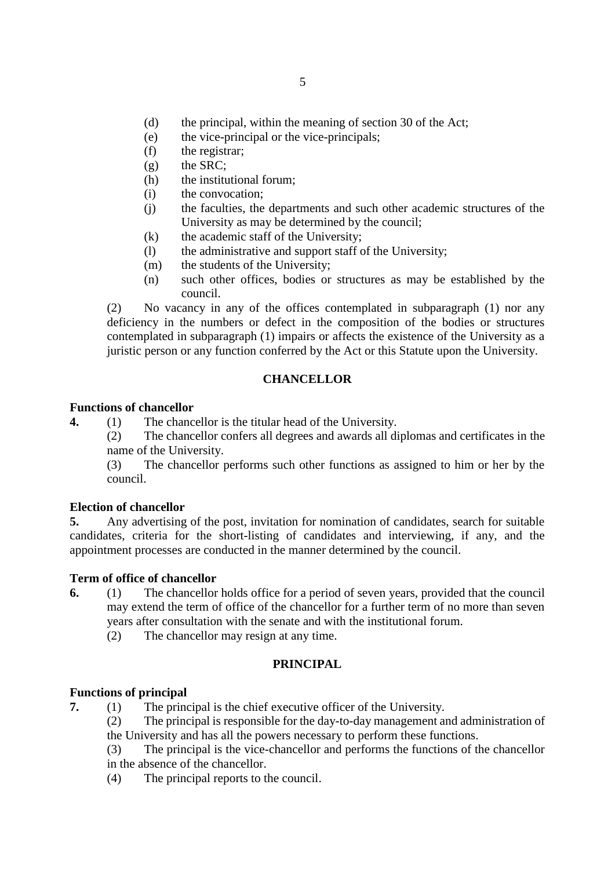- (d) the principal, within the meaning of section 30 of the Act;
- (e) the vice-principal or the vice-principals;
- (f) the registrar;
- $(g)$  the SRC;
- (h) the institutional forum;
- (i) the convocation;
- (j) the faculties, the departments and such other academic structures of the University as may be determined by the council;
- (k) the academic staff of the University;
- (l) the administrative and support staff of the University;
- (m) the students of the University;
- (n) such other offices, bodies or structures as may be established by the council.

(2) No vacancy in any of the offices contemplated in subparagraph (1) nor any deficiency in the numbers or defect in the composition of the bodies or structures contemplated in subparagraph (1) impairs or affects the existence of the University as a juristic person or any function conferred by the Act or this Statute upon the University.

# **CHANCELLOR**

# **Functions of chancellor**

**4.** (1) The chancellor is the titular head of the University.

(2) The chancellor confers all degrees and awards all diplomas and certificates in the name of the University.

(3) The chancellor performs such other functions as assigned to him or her by the council.

# <span id="page-4-0"></span>**Election of chancellor**

**5.** Any advertising of the post, invitation for nomination of candidates, search for suitable candidates, criteria for the short-listing of candidates and interviewing, if any, and the appointment processes are conducted in the manner determined by the council.

# <span id="page-4-1"></span>**Term of office of chancellor**

- **6.** (1) The chancellor holds office for a period of seven years, provided that the council may extend the term of office of the chancellor for a further term of no more than seven years after consultation with the senate and with the institutional forum.
	- (2) The chancellor may resign at any time.

# **PRINCIPAL**

# <span id="page-4-3"></span><span id="page-4-2"></span>**Functions of principal**

**7.** (1) The principal is the chief executive officer of the University.

(2) The principal is responsible for the day-to-day management and administration of the University and has all the powers necessary to perform these functions.

- (3) The principal is the vice-chancellor and performs the functions of the chancellor in the absence of the chancellor.
- (4) The principal reports to the council.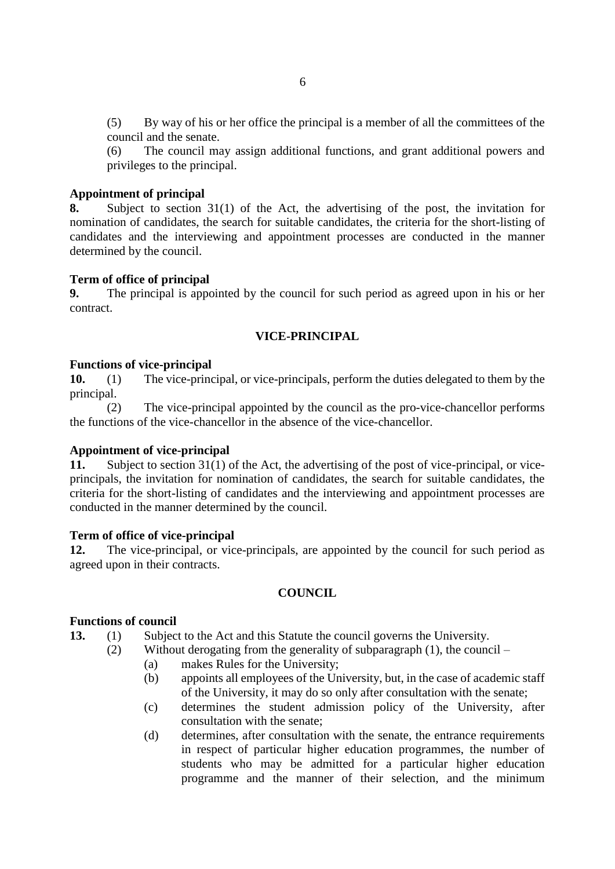(5) By way of his or her office the principal is a member of all the committees of the council and the senate.

(6) The council may assign additional functions, and grant additional powers and privileges to the principal.

#### <span id="page-5-0"></span>**Appointment of principal**

**8.** Subject to section 31(1) of the Act, the advertising of the post, the invitation for nomination of candidates, the search for suitable candidates, the criteria for the short-listing of candidates and the interviewing and appointment processes are conducted in the manner determined by the council.

#### <span id="page-5-1"></span>**Term of office of principal**

**9.** The principal is appointed by the council for such period as agreed upon in his or her contract.

# **VICE-PRINCIPAL**

#### <span id="page-5-3"></span><span id="page-5-2"></span>**Functions of vice-principal**

**10.** (1) The vice-principal, or vice-principals, perform the duties delegated to them by the principal.

(2) The vice-principal appointed by the council as the pro-vice-chancellor performs the functions of the vice-chancellor in the absence of the vice-chancellor.

#### <span id="page-5-4"></span>**Appointment of vice-principal**

**11.** Subject to section 31(1) of the Act, the advertising of the post of vice-principal, or viceprincipals, the invitation for nomination of candidates, the search for suitable candidates, the criteria for the short-listing of candidates and the interviewing and appointment processes are conducted in the manner determined by the council.

#### <span id="page-5-5"></span>**Term of office of vice-principal**

**12.** The vice-principal, or vice-principals, are appointed by the council for such period as agreed upon in their contracts.

### **COUNCIL**

#### <span id="page-5-7"></span><span id="page-5-6"></span>**Functions of council**

**13.** (1) Subject to the Act and this Statute the council governs the University.

- (2) Without derogating from the generality of subparagraph (1), the council
	- (a) makes Rules for the University;
	- (b) appoints all employees of the University, but, in the case of academic staff of the University, it may do so only after consultation with the senate;
	- (c) determines the student admission policy of the University, after consultation with the senate;
	- (d) determines, after consultation with the senate, the entrance requirements in respect of particular higher education programmes, the number of students who may be admitted for a particular higher education programme and the manner of their selection, and the minimum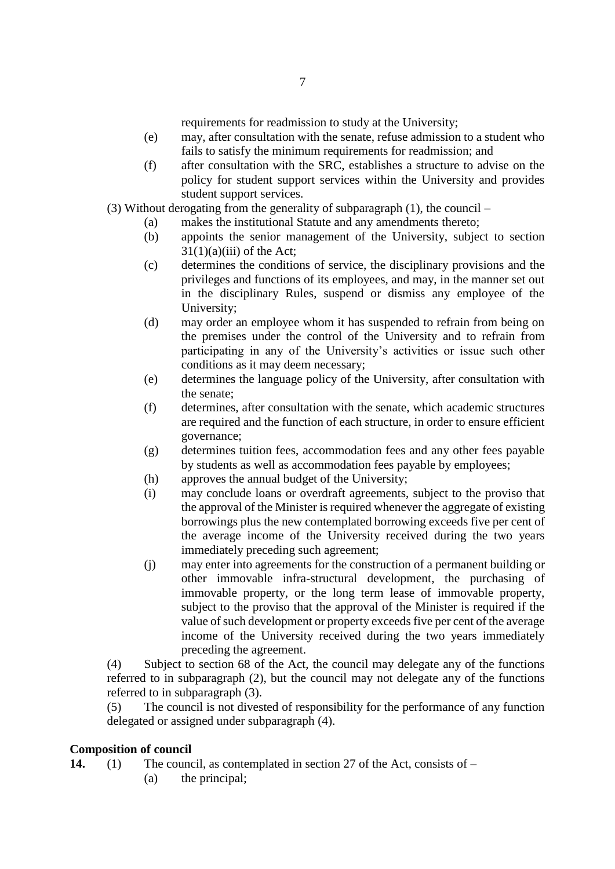requirements for readmission to study at the University;

- (e) may, after consultation with the senate, refuse admission to a student who fails to satisfy the minimum requirements for readmission; and
- (f) after consultation with the SRC, establishes a structure to advise on the policy for student support services within the University and provides student support services.
- (3) Without derogating from the generality of subparagraph (1), the council
	- (a) makes the institutional Statute and any amendments thereto;
	- (b) appoints the senior management of the University, subject to section  $31(1)(a)(iii)$  of the Act;
	- (c) determines the conditions of service, the disciplinary provisions and the privileges and functions of its employees, and may, in the manner set out in the disciplinary Rules, suspend or dismiss any employee of the University;
	- (d) may order an employee whom it has suspended to refrain from being on the premises under the control of the University and to refrain from participating in any of the University's activities or issue such other conditions as it may deem necessary;
	- (e) determines the language policy of the University, after consultation with the senate;
	- (f) determines, after consultation with the senate, which academic structures are required and the function of each structure, in order to ensure efficient governance;
	- (g) determines tuition fees, accommodation fees and any other fees payable by students as well as accommodation fees payable by employees;
	- (h) approves the annual budget of the University;
	- (i) may conclude loans or overdraft agreements, subject to the proviso that the approval of the Minister is required whenever the aggregate of existing borrowings plus the new contemplated borrowing exceeds five per cent of the average income of the University received during the two years immediately preceding such agreement;
	- (j) may enter into agreements for the construction of a permanent building or other immovable infra-structural development, the purchasing of immovable property, or the long term lease of immovable property, subject to the proviso that the approval of the Minister is required if the value of such development or property exceeds five per cent of the average income of the University received during the two years immediately preceding the agreement.

(4) Subject to section 68 of the Act, the council may delegate any of the functions referred to in subparagraph (2), but the council may not delegate any of the functions referred to in subparagraph (3).

(5) The council is not divested of responsibility for the performance of any function delegated or assigned under subparagraph (4).

# <span id="page-6-0"></span>**Composition of council**

**14.** (1) The council, as contemplated in section 27 of the Act, consists of –

(a) the principal;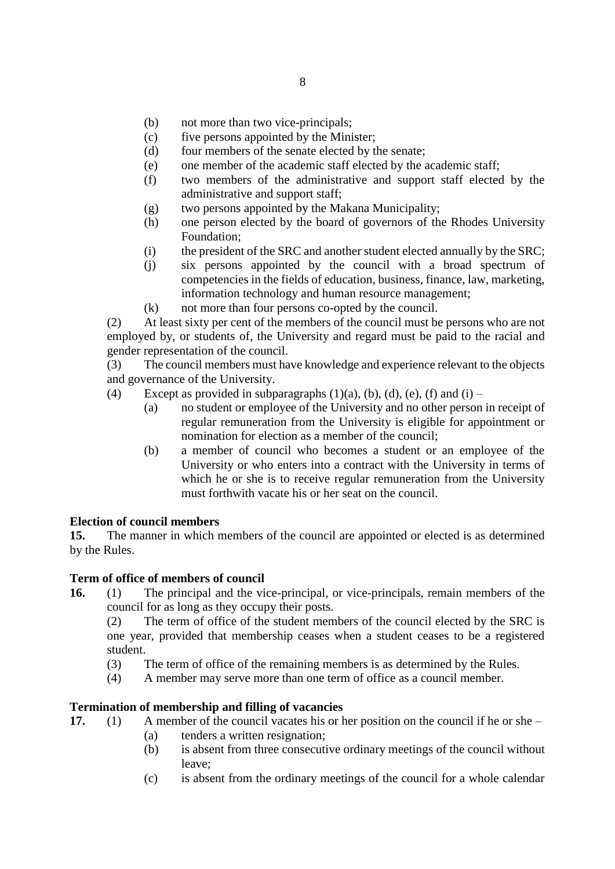- (b) not more than two vice-principals;
- (c) five persons appointed by the Minister;
- (d) four members of the senate elected by the senate;
- (e) one member of the academic staff elected by the academic staff;
- (f) two members of the administrative and support staff elected by the administrative and support staff;
- (g) two persons appointed by the Makana Municipality;
- (h) one person elected by the board of governors of the Rhodes University Foundation;
- (i) the president of the SRC and another student elected annually by the SRC;
- (j) six persons appointed by the council with a broad spectrum of competencies in the fields of education, business, finance, law, marketing, information technology and human resource management;
- (k) not more than four persons co-opted by the council.

(2) At least sixty per cent of the members of the council must be persons who are not employed by, or students of, the University and regard must be paid to the racial and gender representation of the council.

(3) The council members must have knowledge and experience relevant to the objects and governance of the University.

- (4) Except as provided in subparagraphs  $(1)(a)$ ,  $(b)$ ,  $(d)$ ,  $(e)$ ,  $(f)$  and  $(i)$ 
	- (a) no student or employee of the University and no other person in receipt of regular remuneration from the University is eligible for appointment or nomination for election as a member of the council;
	- (b) a member of council who becomes a student or an employee of the University or who enters into a contract with the University in terms of which he or she is to receive regular remuneration from the University must forthwith vacate his or her seat on the council.

# <span id="page-7-0"></span>**Election of council members**

**15.** The manner in which members of the council are appointed or elected is as determined by the Rules.

# <span id="page-7-1"></span>**Term of office of members of council**

**16.** (1) The principal and the vice-principal, or vice-principals, remain members of the council for as long as they occupy their posts.

(2) The term of office of the student members of the council elected by the SRC is one year, provided that membership ceases when a student ceases to be a registered student.

- (3) The term of office of the remaining members is as determined by the Rules.
- (4) A member may serve more than one term of office as a council member.

# <span id="page-7-2"></span>**Termination of membership and filling of vacancies**

- **17.** (1) A member of the council vacates his or her position on the council if he or she
	- (a) tenders a written resignation;
	- (b) is absent from three consecutive ordinary meetings of the council without leave;
	- (c) is absent from the ordinary meetings of the council for a whole calendar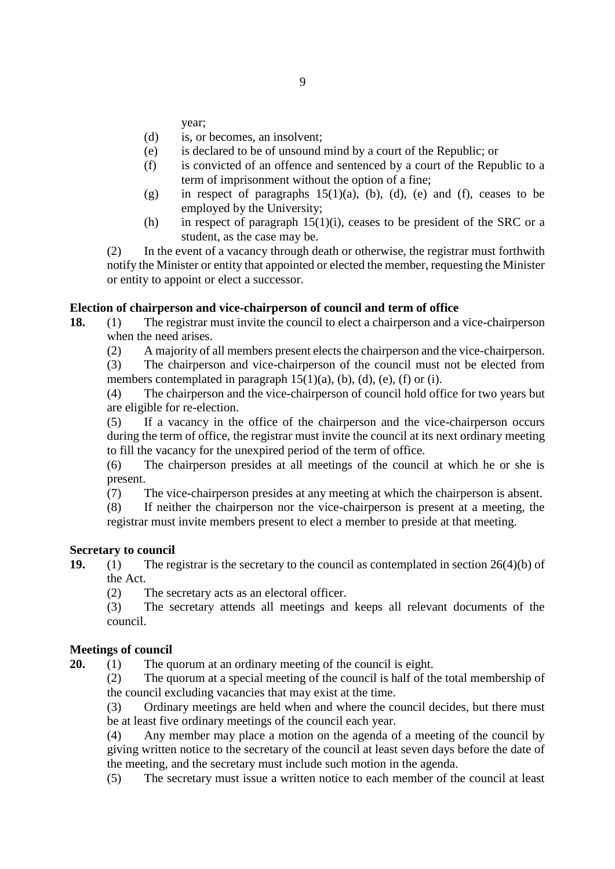year;

- (d) is, or becomes, an insolvent;
- (e) is declared to be of unsound mind by a court of the Republic; or
- (f) is convicted of an offence and sentenced by a court of the Republic to a term of imprisonment without the option of a fine;
- (g) in respect of paragraphs  $15(1)(a)$ , (b), (d), (e) and (f), ceases to be employed by the University;
- (h) in respect of paragraph  $15(1)(i)$ , ceases to be president of the SRC or a student, as the case may be.

(2) In the event of a vacancy through death or otherwise, the registrar must forthwith notify the Minister or entity that appointed or elected the member, requesting the Minister or entity to appoint or elect a successor.

# <span id="page-8-0"></span>**Election of chairperson and vice-chairperson of council and term of office**

- **18.** (1) The registrar must invite the council to elect a chairperson and a vice-chairperson when the need arises.
	- (2) A majority of all members present elects the chairperson and the vice-chairperson.

(3) The chairperson and vice-chairperson of the council must not be elected from members contemplated in paragraph  $15(1)(a)$ ,  $(b)$ ,  $(d)$ ,  $(e)$ ,  $(f)$  or  $(i)$ .

(4) The chairperson and the vice-chairperson of council hold office for two years but are eligible for re-election.

(5) If a vacancy in the office of the chairperson and the vice-chairperson occurs during the term of office, the registrar must invite the council at its next ordinary meeting to fill the vacancy for the unexpired period of the term of office.

(6) The chairperson presides at all meetings of the council at which he or she is present.

(7) The vice-chairperson presides at any meeting at which the chairperson is absent.

(8) If neither the chairperson nor the vice-chairperson is present at a meeting, the registrar must invite members present to elect a member to preside at that meeting.

# <span id="page-8-1"></span>**Secretary to council**

**19.** (1) The registrar is the secretary to the council as contemplated in section 26(4)(b) of the Act.

(2) The secretary acts as an electoral officer.

(3) The secretary attends all meetings and keeps all relevant documents of the council.

# **Meetings of council**

**20.** (1) The quorum at an ordinary meeting of the council is eight.

(2) The quorum at a special meeting of the council is half of the total membership of the council excluding vacancies that may exist at the time.

(3) Ordinary meetings are held when and where the council decides, but there must be at least five ordinary meetings of the council each year.

(4) Any member may place a motion on the agenda of a meeting of the council by giving written notice to the secretary of the council at least seven days before the date of the meeting, and the secretary must include such motion in the agenda.

(5) The secretary must issue a written notice to each member of the council at least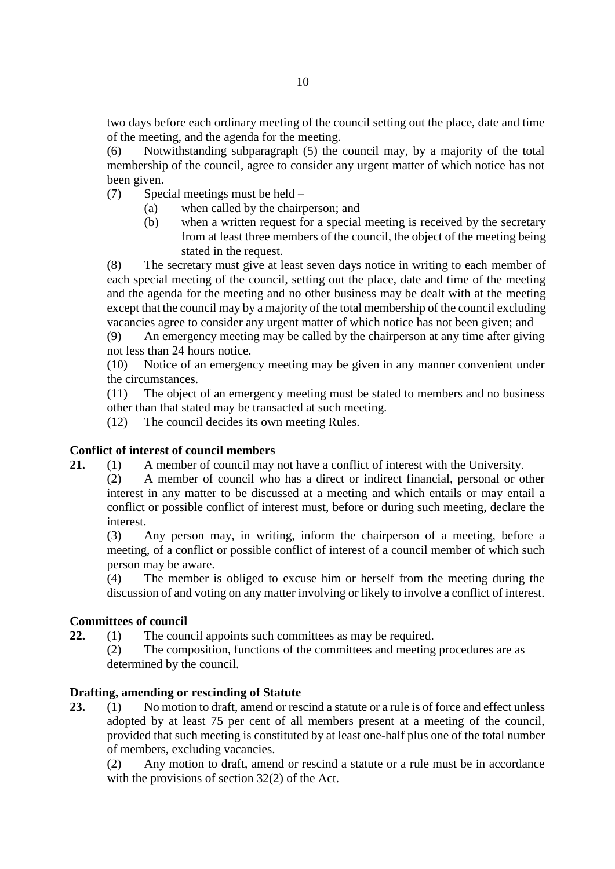two days before each ordinary meeting of the council setting out the place, date and time of the meeting, and the agenda for the meeting.

(6) Notwithstanding subparagraph (5) the council may, by a majority of the total membership of the council, agree to consider any urgent matter of which notice has not been given.

- (7) Special meetings must be held
	- (a) when called by the chairperson; and
	- (b) when a written request for a special meeting is received by the secretary from at least three members of the council, the object of the meeting being stated in the request.

(8) The secretary must give at least seven days notice in writing to each member of each special meeting of the council, setting out the place, date and time of the meeting and the agenda for the meeting and no other business may be dealt with at the meeting except that the council may by a majority of the total membership of the council excluding vacancies agree to consider any urgent matter of which notice has not been given; and

(9) An emergency meeting may be called by the chairperson at any time after giving not less than 24 hours notice.

(10) Notice of an emergency meeting may be given in any manner convenient under the circumstances.

(11) The object of an emergency meeting must be stated to members and no business other than that stated may be transacted at such meeting.

(12) The council decides its own meeting Rules.

# <span id="page-9-0"></span>**Conflict of interest of council members**

- **21.** (1) A member of council may not have a conflict of interest with the University.
	- (2) A member of council who has a direct or indirect financial, personal or other interest in any matter to be discussed at a meeting and which entails or may entail a conflict or possible conflict of interest must, before or during such meeting, declare the interest.

(3) Any person may, in writing, inform the chairperson of a meeting, before a meeting, of a conflict or possible conflict of interest of a council member of which such person may be aware.

(4) The member is obliged to excuse him or herself from the meeting during the discussion of and voting on any matter involving or likely to involve a conflict of interest.

# <span id="page-9-1"></span>**Committees of council**

**22.** (1) The council appoints such committees as may be required.

(2) The composition, functions of the committees and meeting procedures are as determined by the council.

# <span id="page-9-2"></span>**Drafting, amending or rescinding of Statute**

23. (1) No motion to draft, amend or rescind a statute or a rule is of force and effect unless adopted by at least 75 per cent of all members present at a meeting of the council, provided that such meeting is constituted by at least one-half plus one of the total number of members, excluding vacancies.

(2) Any motion to draft, amend or rescind a statute or a rule must be in accordance with the provisions of section 32(2) of the Act.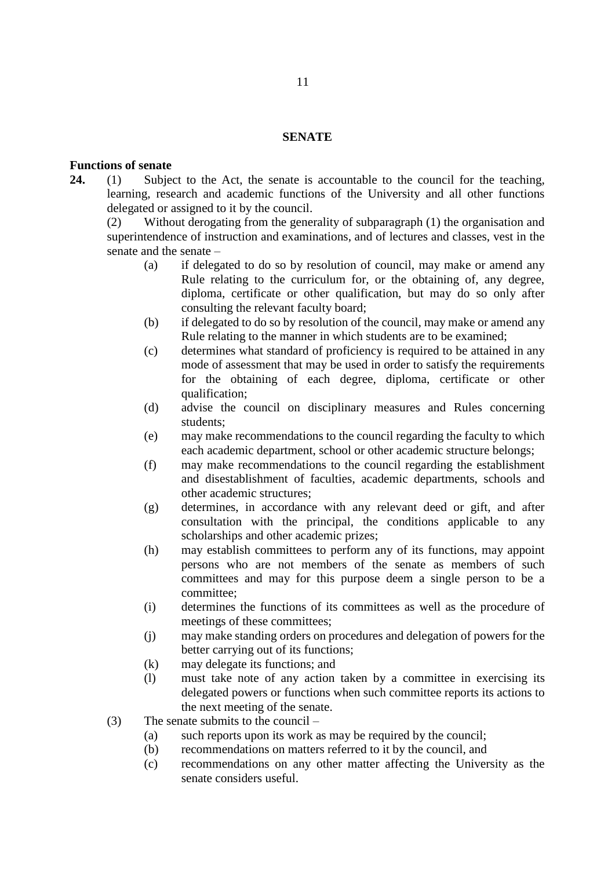#### **SENATE**

### <span id="page-10-0"></span>**Functions of senate**

**24.** (1) Subject to the Act, the senate is accountable to the council for the teaching, learning, research and academic functions of the University and all other functions delegated or assigned to it by the council.

(2) Without derogating from the generality of subparagraph (1) the organisation and superintendence of instruction and examinations, and of lectures and classes, vest in the senate and the senate –

- (a) if delegated to do so by resolution of council, may make or amend any Rule relating to the curriculum for, or the obtaining of, any degree, diploma, certificate or other qualification, but may do so only after consulting the relevant faculty board;
- (b) if delegated to do so by resolution of the council, may make or amend any Rule relating to the manner in which students are to be examined;
- (c) determines what standard of proficiency is required to be attained in any mode of assessment that may be used in order to satisfy the requirements for the obtaining of each degree, diploma, certificate or other qualification;
- (d) advise the council on disciplinary measures and Rules concerning students;
- (e) may make recommendations to the council regarding the faculty to which each academic department, school or other academic structure belongs;
- (f) may make recommendations to the council regarding the establishment and disestablishment of faculties, academic departments, schools and other academic structures;
- (g) determines, in accordance with any relevant deed or gift, and after consultation with the principal, the conditions applicable to any scholarships and other academic prizes;
- (h) may establish committees to perform any of its functions, may appoint persons who are not members of the senate as members of such committees and may for this purpose deem a single person to be a committee;
- (i) determines the functions of its committees as well as the procedure of meetings of these committees;
- (j) may make standing orders on procedures and delegation of powers for the better carrying out of its functions;
- (k) may delegate its functions; and
- (l) must take note of any action taken by a committee in exercising its delegated powers or functions when such committee reports its actions to the next meeting of the senate.
- (3) The senate submits to the council
	- (a) such reports upon its work as may be required by the council;
	- (b) recommendations on matters referred to it by the council, and
	- (c) recommendations on any other matter affecting the University as the senate considers useful.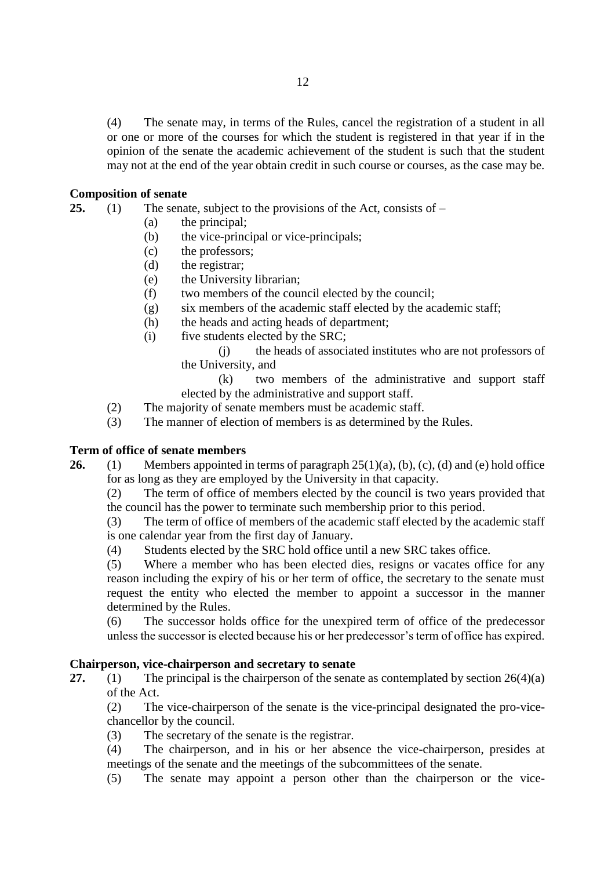(4) The senate may, in terms of the Rules, cancel the registration of a student in all or one or more of the courses for which the student is registered in that year if in the opinion of the senate the academic achievement of the student is such that the student may not at the end of the year obtain credit in such course or courses, as the case may be.

# <span id="page-11-0"></span>**Composition of senate**

**25.** (1) The senate, subject to the provisions of the Act, consists of –

- (a) the principal;
- (b) the vice-principal or vice-principals;
- (c) the professors;
- (d) the registrar;
- (e) the University librarian;
- (f) two members of the council elected by the council;
- (g) six members of the academic staff elected by the academic staff;
- (h) the heads and acting heads of department;
- (i) five students elected by the SRC;

(j) the heads of associated institutes who are not professors of the University, and

(k) two members of the administrative and support staff elected by the administrative and support staff.

- (2) The majority of senate members must be academic staff.
- (3) The manner of election of members is as determined by the Rules.

# <span id="page-11-1"></span>**Term of office of senate members**

**26.** (1) Members appointed in terms of paragraph 25(1)(a), (b), (c), (d) and (e) hold office for as long as they are employed by the University in that capacity.

(2) The term of office of members elected by the council is two years provided that the council has the power to terminate such membership prior to this period.

(3) The term of office of members of the academic staff elected by the academic staff is one calendar year from the first day of January.

(4) Students elected by the SRC hold office until a new SRC takes office.

(5) Where a member who has been elected dies, resigns or vacates office for any reason including the expiry of his or her term of office, the secretary to the senate must request the entity who elected the member to appoint a successor in the manner determined by the Rules.

(6) The successor holds office for the unexpired term of office of the predecessor unless the successor is elected because his or her predecessor's term of office has expired.

# <span id="page-11-2"></span>**Chairperson, vice-chairperson and secretary to senate**

**27.** (1) The principal is the chairperson of the senate as contemplated by section 26(4)(a) of the Act.

(2) The vice-chairperson of the senate is the vice-principal designated the pro-vicechancellor by the council.

- (3) The secretary of the senate is the registrar.
- (4) The chairperson, and in his or her absence the vice-chairperson, presides at meetings of the senate and the meetings of the subcommittees of the senate.
- (5) The senate may appoint a person other than the chairperson or the vice-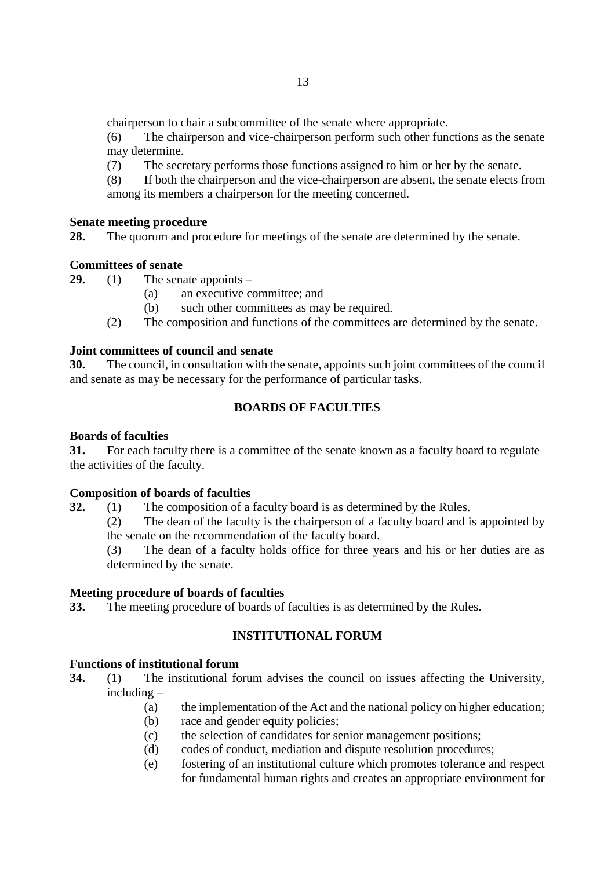chairperson to chair a subcommittee of the senate where appropriate.

(6) The chairperson and vice-chairperson perform such other functions as the senate may determine.

(7) The secretary performs those functions assigned to him or her by the senate.

(8) If both the chairperson and the vice-chairperson are absent, the senate elects from among its members a chairperson for the meeting concerned.

# <span id="page-12-0"></span>**Senate meeting procedure**

**28.** The quorum and procedure for meetings of the senate are determined by the senate.

# <span id="page-12-1"></span>**Committees of senate**

**29.** (1) The senate appoints –

- (a) an executive committee; and
- (b) such other committees as may be required.
- (2) The composition and functions of the committees are determined by the senate.

# **Joint committees of council and senate**

**30.** The council, in consultation with the senate, appoints such joint committees of the council and senate as may be necessary for the performance of particular tasks.

# **BOARDS OF FACULTIES**

# <span id="page-12-3"></span><span id="page-12-2"></span>**Boards of faculties**

**31.** For each faculty there is a committee of the senate known as a faculty board to regulate the activities of the faculty.

# <span id="page-12-4"></span>**Composition of boards of faculties**

**32.** (1) The composition of a faculty board is as determined by the Rules.

(2) The dean of the faculty is the chairperson of a faculty board and is appointed by the senate on the recommendation of the faculty board.

(3) The dean of a faculty holds office for three years and his or her duties are as determined by the senate.

# <span id="page-12-5"></span>**Meeting procedure of boards of faculties**

<span id="page-12-6"></span>**33.** The meeting procedure of boards of faculties is as determined by the Rules.

# **INSTITUTIONAL FORUM**

# <span id="page-12-7"></span>**Functions of institutional forum**

**34.** (1) The institutional forum advises the council on issues affecting the University, including –

- (a) the implementation of the Act and the national policy on higher education;
- (b) race and gender equity policies;
- (c) the selection of candidates for senior management positions;
- (d) codes of conduct, mediation and dispute resolution procedures;
- (e) fostering of an institutional culture which promotes tolerance and respect for fundamental human rights and creates an appropriate environment for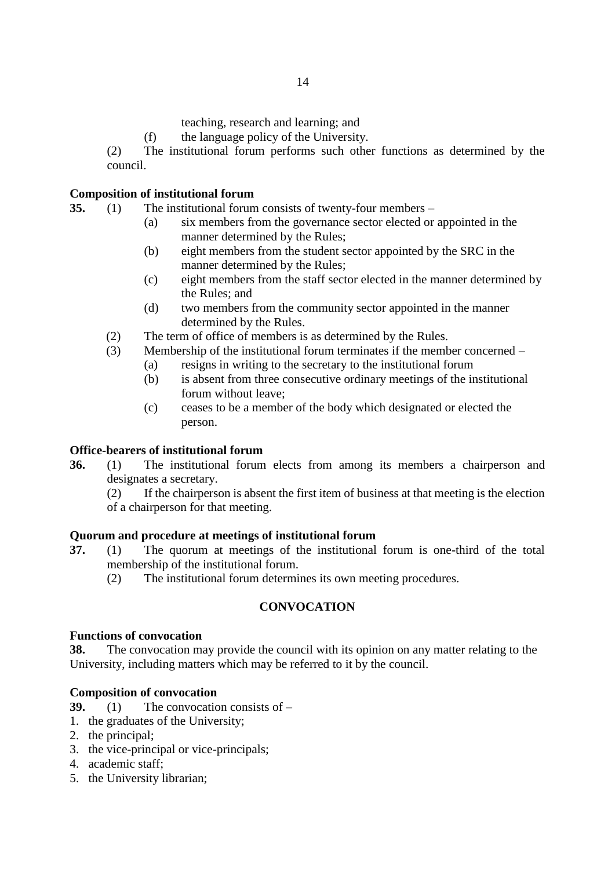teaching, research and learning; and

(f) the language policy of the University.

(2) The institutional forum performs such other functions as determined by the council.

# <span id="page-13-0"></span>**Composition of institutional forum**

- **35.** (1) The institutional forum consists of twenty-four members
	- (a) six members from the governance sector elected or appointed in the manner determined by the Rules;
	- (b) eight members from the student sector appointed by the SRC in the manner determined by the Rules;
	- (c) eight members from the staff sector elected in the manner determined by the Rules; and
	- (d) two members from the community sector appointed in the manner determined by the Rules.
	- (2) The term of office of members is as determined by the Rules.
	- (3) Membership of the institutional forum terminates if the member concerned
		- (a) resigns in writing to the secretary to the institutional forum
		- (b) is absent from three consecutive ordinary meetings of the institutional forum without leave;
		- (c) ceases to be a member of the body which designated or elected the person.

# <span id="page-13-1"></span>**Office-bearers of institutional forum**

**36.** (1) The institutional forum elects from among its members a chairperson and designates a secretary.

(2) If the chairperson is absent the first item of business at that meeting is the election of a chairperson for that meeting.

# <span id="page-13-2"></span>**Quorum and procedure at meetings of institutional forum**

- **37.** (1) The quorum at meetings of the institutional forum is one-third of the total membership of the institutional forum.
	- (2) The institutional forum determines its own meeting procedures.

# **CONVOCATION**

# <span id="page-13-4"></span><span id="page-13-3"></span>**Functions of convocation**

**38.** The convocation may provide the council with its opinion on any matter relating to the University, including matters which may be referred to it by the council.

# <span id="page-13-5"></span>**Composition of convocation**

**39.** (1) The convocation consists of –

- 1. the graduates of the University;
- 2. the principal;
- 3. the vice-principal or vice-principals;
- 4. academic staff;
- 5. the University librarian;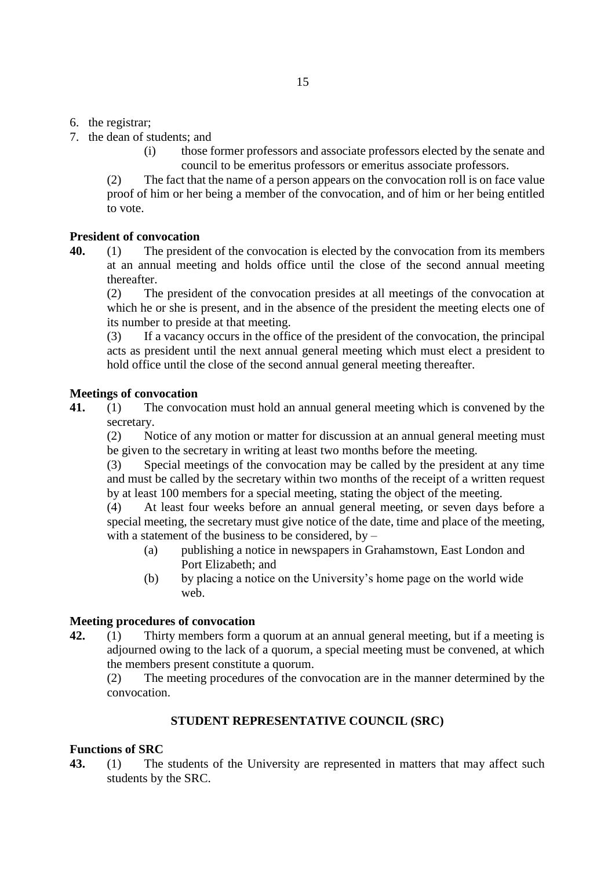- 6. the registrar;
- 7. the dean of students; and
	- (i) those former professors and associate professors elected by the senate and council to be emeritus professors or emeritus associate professors.

(2) The fact that the name of a person appears on the convocation roll is on face value proof of him or her being a member of the convocation, and of him or her being entitled to vote.

# <span id="page-14-0"></span>**President of convocation**

**40.** (1) The president of the convocation is elected by the convocation from its members at an annual meeting and holds office until the close of the second annual meeting thereafter.

(2) The president of the convocation presides at all meetings of the convocation at which he or she is present, and in the absence of the president the meeting elects one of its number to preside at that meeting.

(3) If a vacancy occurs in the office of the president of the convocation, the principal acts as president until the next annual general meeting which must elect a president to hold office until the close of the second annual general meeting thereafter.

# <span id="page-14-1"></span>**Meetings of convocation**

**41.** (1) The convocation must hold an annual general meeting which is convened by the secretary.

(2) Notice of any motion or matter for discussion at an annual general meeting must be given to the secretary in writing at least two months before the meeting.

(3) Special meetings of the convocation may be called by the president at any time and must be called by the secretary within two months of the receipt of a written request by at least 100 members for a special meeting, stating the object of the meeting.

(4) At least four weeks before an annual general meeting, or seven days before a special meeting, the secretary must give notice of the date, time and place of the meeting, with a statement of the business to be considered, by  $-$ 

- (a) publishing a notice in newspapers in Grahamstown, East London and Port Elizabeth; and
- (b) by placing a notice on the University's home page on the world wide web.

# <span id="page-14-2"></span>**Meeting procedures of convocation**

**42.** (1) Thirty members form a quorum at an annual general meeting, but if a meeting is adjourned owing to the lack of a quorum, a special meeting must be convened, at which the members present constitute a quorum.

(2) The meeting procedures of the convocation are in the manner determined by the convocation.

# **STUDENT REPRESENTATIVE COUNCIL (SRC)**

# <span id="page-14-4"></span><span id="page-14-3"></span>**Functions of SRC**

**43.** (1) The students of the University are represented in matters that may affect such students by the SRC.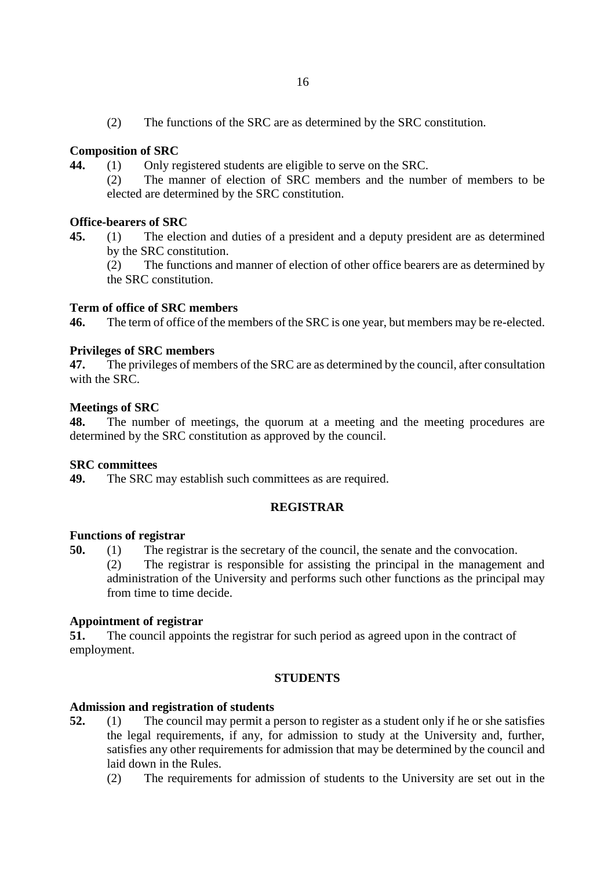(2) The functions of the SRC are as determined by the SRC constitution.

# <span id="page-15-0"></span>**Composition of SRC**

- **44.** (1) Only registered students are eligible to serve on the SRC.
	- (2) The manner of election of SRC members and the number of members to be elected are determined by the SRC constitution.

# <span id="page-15-1"></span>**Office-bearers of SRC**

**45.** (1) The election and duties of a president and a deputy president are as determined by the SRC constitution.

(2) The functions and manner of election of other office bearers are as determined by the SRC constitution.

# <span id="page-15-2"></span>**Term of office of SRC members**

**46.** The term of office of the members of the SRC is one year, but members may be re-elected.

# <span id="page-15-3"></span>**Privileges of SRC members**

**47.** The privileges of members of the SRC are as determined by the council, after consultation with the SRC.

# <span id="page-15-4"></span>**Meetings of SRC**

**48.** The number of meetings, the quorum at a meeting and the meeting procedures are determined by the SRC constitution as approved by the council.

# <span id="page-15-5"></span>**SRC committees**

<span id="page-15-6"></span>**49.** The SRC may establish such committees as are required.

# **REGISTRAR**

# <span id="page-15-7"></span>**Functions of registrar**

**50.** (1) The registrar is the secretary of the council, the senate and the convocation.

(2) The registrar is responsible for assisting the principal in the management and administration of the University and performs such other functions as the principal may from time to time decide.

# <span id="page-15-8"></span>**Appointment of registrar**

**51.** The council appoints the registrar for such period as agreed upon in the contract of employment.

# **STUDENTS**

# <span id="page-15-10"></span><span id="page-15-9"></span>**Admission and registration of students**

- **52.** (1) The council may permit a person to register as a student only if he or she satisfies the legal requirements, if any, for admission to study at the University and, further, satisfies any other requirements for admission that may be determined by the council and laid down in the Rules.
	- (2) The requirements for admission of students to the University are set out in the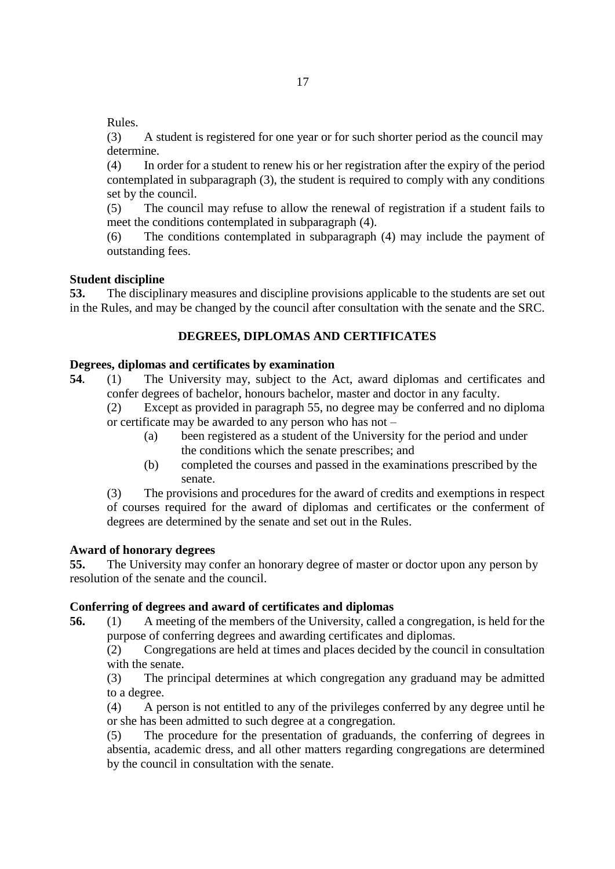Rules.

(3) A student is registered for one year or for such shorter period as the council may determine.

(4) In order for a student to renew his or her registration after the expiry of the period contemplated in subparagraph (3), the student is required to comply with any conditions set by the council.

(5) The council may refuse to allow the renewal of registration if a student fails to meet the conditions contemplated in subparagraph (4).

(6) The conditions contemplated in subparagraph (4) may include the payment of outstanding fees.

# <span id="page-16-0"></span>**Student discipline**

**53.** The disciplinary measures and discipline provisions applicable to the students are set out in the Rules, and may be changed by the council after consultation with the senate and the SRC.

# **DEGREES, DIPLOMAS AND CERTIFICATES**

# <span id="page-16-2"></span><span id="page-16-1"></span>**Degrees, diplomas and certificates by examination**

**54.** (1) The University may, subject to the Act, award diplomas and certificates and confer degrees of bachelor, honours bachelor, master and doctor in any faculty.

(2) Except as provided in paragraph 55, no degree may be conferred and no diploma or certificate may be awarded to any person who has not –

- (a) been registered as a student of the University for the period and under the conditions which the senate prescribes; and
- (b) completed the courses and passed in the examinations prescribed by the senate.

(3) The provisions and procedures for the award of credits and exemptions in respect of courses required for the award of diplomas and certificates or the conferment of degrees are determined by the senate and set out in the Rules.

# <span id="page-16-3"></span>**Award of honorary degrees**

**55.** The University may confer an honorary degree of master or doctor upon any person by resolution of the senate and the council.

# <span id="page-16-4"></span>**Conferring of degrees and award of certificates and diplomas**

**56.** (1) A meeting of the members of the University, called a congregation, is held for the purpose of conferring degrees and awarding certificates and diplomas.

(2) Congregations are held at times and places decided by the council in consultation with the senate.

(3) The principal determines at which congregation any graduand may be admitted to a degree.

(4) A person is not entitled to any of the privileges conferred by any degree until he or she has been admitted to such degree at a congregation.

(5) The procedure for the presentation of graduands, the conferring of degrees in absentia, academic dress, and all other matters regarding congregations are determined by the council in consultation with the senate.